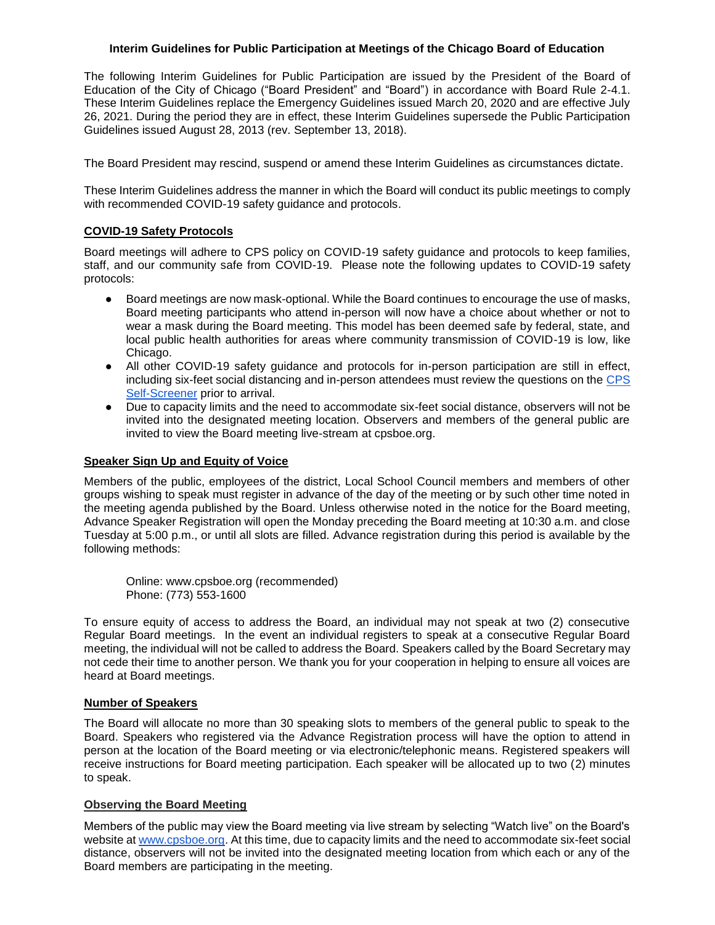# **Interim Guidelines for Public Participation at Meetings of the Chicago Board of Education**

The following Interim Guidelines for Public Participation are issued by the President of the Board of Education of the City of Chicago ("Board President" and "Board") in accordance with Board Rule 2-4.1. These Interim Guidelines replace the Emergency Guidelines issued March 20, 2020 and are effective July 26, 2021. During the period they are in effect, these Interim Guidelines supersede the Public Participation Guidelines issued August 28, 2013 (rev. September 13, 2018).

The Board President may rescind, suspend or amend these Interim Guidelines as circumstances dictate.

These Interim Guidelines address the manner in which the Board will conduct its public meetings to comply with recommended COVID-19 safety guidance and protocols.

# **COVID-19 Safety Protocols**

Board meetings will adhere to CPS policy on COVID-19 safety guidance and protocols to keep families, staff, and our community safe from COVID-19. Please note the following updates to COVID-19 safety protocols:

- Board meetings are now mask-optional. While the Board continues to encourage the use of masks, Board meeting participants who attend in-person will now have a choice about whether or not to wear a mask during the Board meeting. This model has been deemed safe by federal, state, and local public health authorities for areas where community transmission of COVID-19 is low, like Chicago.
- All other COVID-19 safety guidance and protocols for in-person participation are still in effect, including six-feet social distancing and in-person attendees must review the questions on the [CPS](https://www.cps.edu/services-and-supports/covid-19-resources/health-screener-instructions/)  [Self-Screener](https://www.cps.edu/services-and-supports/covid-19-resources/health-screener-instructions/) prior to arrival.
- Due to capacity limits and the need to accommodate six-feet social distance, observers will not be invited into the designated meeting location. Observers and members of the general public are invited to view the Board meeting live-stream at cpsboe.org.

# **Speaker Sign Up and Equity of Voice**

Members of the public, employees of the district, Local School Council members and members of other groups wishing to speak must register in advance of the day of the meeting or by such other time noted in the meeting agenda published by the Board. Unless otherwise noted in the notice for the Board meeting, Advance Speaker Registration will open the Monday preceding the Board meeting at 10:30 a.m. and close Tuesday at 5:00 p.m., or until all slots are filled. Advance registration during this period is available by the following methods:

Online: www.cpsboe.org (recommended) Phone: (773) 553-1600

To ensure equity of access to address the Board, an individual may not speak at two (2) consecutive Regular Board meetings. In the event an individual registers to speak at a consecutive Regular Board meeting, the individual will not be called to address the Board. Speakers called by the Board Secretary may not cede their time to another person. We thank you for your cooperation in helping to ensure all voices are heard at Board meetings.

### **Number of Speakers**

The Board will allocate no more than 30 speaking slots to members of the general public to speak to the Board. Speakers who registered via the Advance Registration process will have the option to attend in person at the location of the Board meeting or via electronic/telephonic means. Registered speakers will receive instructions for Board meeting participation. Each speaker will be allocated up to two (2) minutes to speak.

### **Observing the Board Meeting**

Members of the public may view the Board meeting via live stream by selecting "Watch live" on the Board's website at [www.cpsboe.org.](http://www.cpsboe.org/) At this time, due to capacity limits and the need to accommodate six-feet social distance, observers will not be invited into the designated meeting location from which each or any of the Board members are participating in the meeting.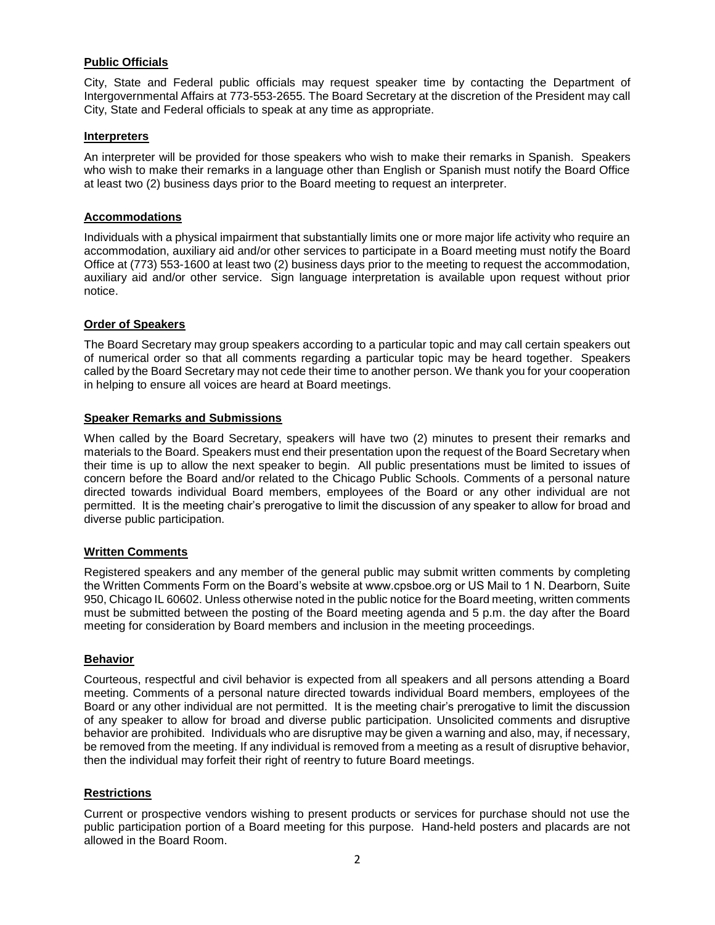# **Public Officials**

City, State and Federal public officials may request speaker time by contacting the Department of Intergovernmental Affairs at 773-553-2655. The Board Secretary at the discretion of the President may call City, State and Federal officials to speak at any time as appropriate.

### **Interpreters**

An interpreter will be provided for those speakers who wish to make their remarks in Spanish. Speakers who wish to make their remarks in a language other than English or Spanish must notify the Board Office at least two (2) business days prior to the Board meeting to request an interpreter.

#### **Accommodations**

Individuals with a physical impairment that substantially limits one or more major life activity who require an accommodation, auxiliary aid and/or other services to participate in a Board meeting must notify the Board Office at (773) 553-1600 at least two (2) business days prior to the meeting to request the accommodation, auxiliary aid and/or other service. Sign language interpretation is available upon request without prior notice.

### **Order of Speakers**

The Board Secretary may group speakers according to a particular topic and may call certain speakers out of numerical order so that all comments regarding a particular topic may be heard together. Speakers called by the Board Secretary may not cede their time to another person. We thank you for your cooperation in helping to ensure all voices are heard at Board meetings.

### **Speaker Remarks and Submissions**

When called by the Board Secretary, speakers will have two (2) minutes to present their remarks and materials to the Board. Speakers must end their presentation upon the request of the Board Secretary when their time is up to allow the next speaker to begin. All public presentations must be limited to issues of concern before the Board and/or related to the Chicago Public Schools. Comments of a personal nature directed towards individual Board members, employees of the Board or any other individual are not permitted. It is the meeting chair's prerogative to limit the discussion of any speaker to allow for broad and diverse public participation.

### **Written Comments**

Registered speakers and any member of the general public may submit written comments by completing the Written Comments Form on the Board's website at www.cpsboe.org or US Mail to 1 N. Dearborn, Suite 950, Chicago IL 60602. Unless otherwise noted in the public notice for the Board meeting, written comments must be submitted between the posting of the Board meeting agenda and 5 p.m. the day after the Board meeting for consideration by Board members and inclusion in the meeting proceedings.

### **Behavior**

Courteous, respectful and civil behavior is expected from all speakers and all persons attending a Board meeting. Comments of a personal nature directed towards individual Board members, employees of the Board or any other individual are not permitted. It is the meeting chair's prerogative to limit the discussion of any speaker to allow for broad and diverse public participation. Unsolicited comments and disruptive behavior are prohibited. Individuals who are disruptive may be given a warning and also, may, if necessary, be removed from the meeting. If any individual is removed from a meeting as a result of disruptive behavior, then the individual may forfeit their right of reentry to future Board meetings.

### **Restrictions**

Current or prospective vendors wishing to present products or services for purchase should not use the public participation portion of a Board meeting for this purpose. Hand-held posters and placards are not allowed in the Board Room.